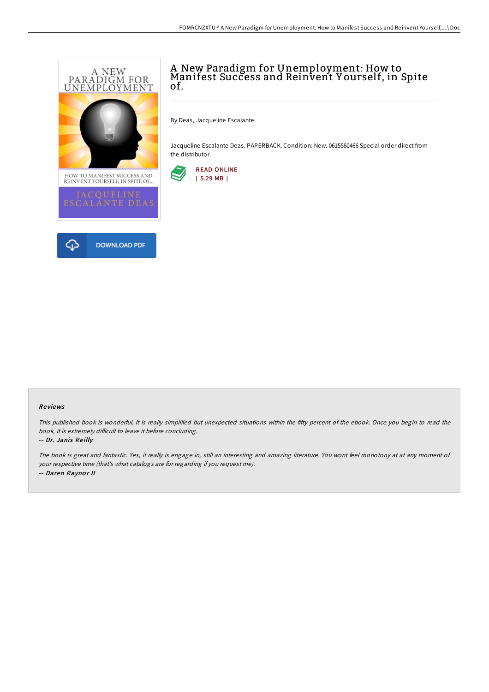

# A New Paradigm for Unemployment: How to Manifest Success and Reinvent Y ourself, in Spite of.

By Deas, Jacqueline Escalante

Jacqueline Escalante Deas. PAPERBACK. Condition: New. 0615560466 Special order direct from the distributor.



## Re views

This published book is wonderful. It is really simplified but unexpected situations within the fifty percent of the ebook. Once you begin to read the book, it is extremely difficult to leave it before concluding.

#### -- Dr. Janis Reilly

The book is great and fantastic. Yes, it really is engage in, still an interesting and amazing literature. You wont feel monotony at at any moment of your respective time (that's what catalogs are for regarding if you request me). -- Daren Raynor II